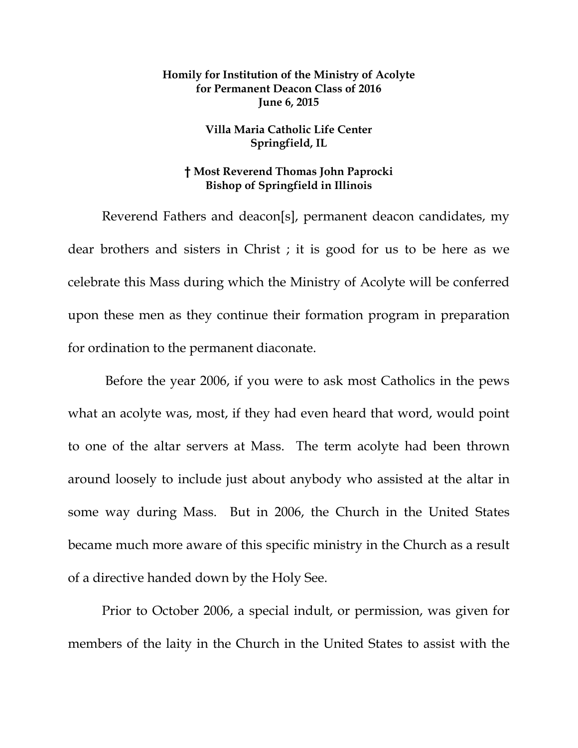## **Homily for Institution of the Ministry of Acolyte for Permanent Deacon Class of 2016 June 6, 2015**

## **Villa Maria Catholic Life Center Springfield, IL**

## **† Most Reverend Thomas John Paprocki Bishop of Springfield in Illinois**

Reverend Fathers and deacon[s], permanent deacon candidates, my dear brothers and sisters in Christ ; it is good for us to be here as we celebrate this Mass during which the Ministry of Acolyte will be conferred upon these men as they continue their formation program in preparation for ordination to the permanent diaconate.

 Before the year 2006, if you were to ask most Catholics in the pews what an acolyte was, most, if they had even heard that word, would point to one of the altar servers at Mass. The term acolyte had been thrown around loosely to include just about anybody who assisted at the altar in some way during Mass. But in 2006, the Church in the United States became much more aware of this specific ministry in the Church as a result of a directive handed down by the Holy See.

Prior to October 2006, a special indult, or permission, was given for members of the laity in the Church in the United States to assist with the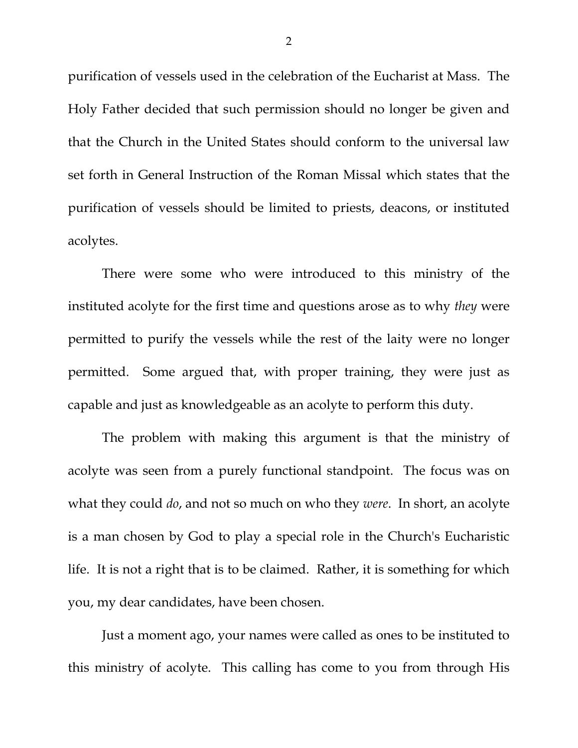purification of vessels used in the celebration of the Eucharist at Mass. The Holy Father decided that such permission should no longer be given and that the Church in the United States should conform to the universal law set forth in General Instruction of the Roman Missal which states that the purification of vessels should be limited to priests, deacons, or instituted acolytes.

There were some who were introduced to this ministry of the instituted acolyte for the first time and questions arose as to why *they* were permitted to purify the vessels while the rest of the laity were no longer permitted. Some argued that, with proper training, they were just as capable and just as knowledgeable as an acolyte to perform this duty.

The problem with making this argument is that the ministry of acolyte was seen from a purely functional standpoint. The focus was on what they could *do*, and not so much on who they *were*. In short, an acolyte is a man chosen by God to play a special role in the Church's Eucharistic life. It is not a right that is to be claimed. Rather, it is something for which you, my dear candidates, have been chosen.

Just a moment ago, your names were called as ones to be instituted to this ministry of acolyte. This calling has come to you from through His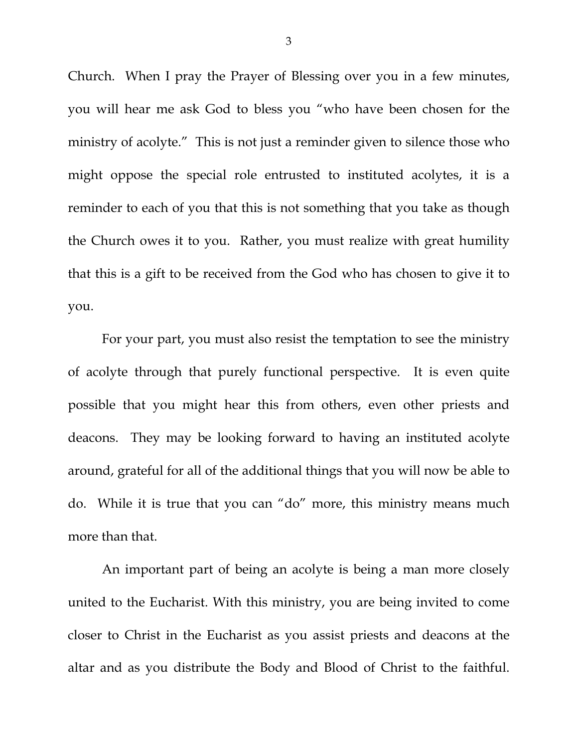Church. When I pray the Prayer of Blessing over you in a few minutes, you will hear me ask God to bless you "who have been chosen for the ministry of acolyte." This is not just a reminder given to silence those who might oppose the special role entrusted to instituted acolytes, it is a reminder to each of you that this is not something that you take as though the Church owes it to you. Rather, you must realize with great humility that this is a gift to be received from the God who has chosen to give it to you.

For your part, you must also resist the temptation to see the ministry of acolyte through that purely functional perspective. It is even quite possible that you might hear this from others, even other priests and deacons. They may be looking forward to having an instituted acolyte around, grateful for all of the additional things that you will now be able to do. While it is true that you can "do" more, this ministry means much more than that.

An important part of being an acolyte is being a man more closely united to the Eucharist. With this ministry, you are being invited to come closer to Christ in the Eucharist as you assist priests and deacons at the altar and as you distribute the Body and Blood of Christ to the faithful.

3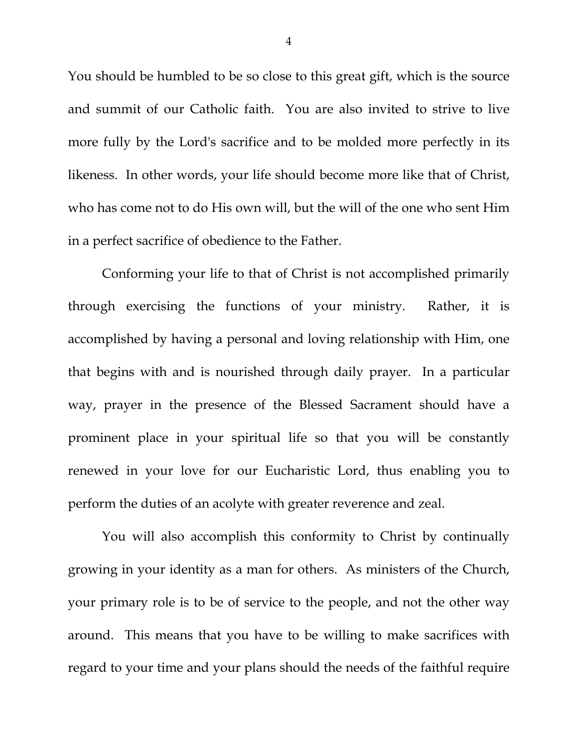You should be humbled to be so close to this great gift, which is the source and summit of our Catholic faith. You are also invited to strive to live more fully by the Lord's sacrifice and to be molded more perfectly in its likeness. In other words, your life should become more like that of Christ, who has come not to do His own will, but the will of the one who sent Him in a perfect sacrifice of obedience to the Father.

Conforming your life to that of Christ is not accomplished primarily through exercising the functions of your ministry. Rather, it is accomplished by having a personal and loving relationship with Him, one that begins with and is nourished through daily prayer. In a particular way, prayer in the presence of the Blessed Sacrament should have a prominent place in your spiritual life so that you will be constantly renewed in your love for our Eucharistic Lord, thus enabling you to perform the duties of an acolyte with greater reverence and zeal.

You will also accomplish this conformity to Christ by continually growing in your identity as a man for others. As ministers of the Church, your primary role is to be of service to the people, and not the other way around. This means that you have to be willing to make sacrifices with regard to your time and your plans should the needs of the faithful require

4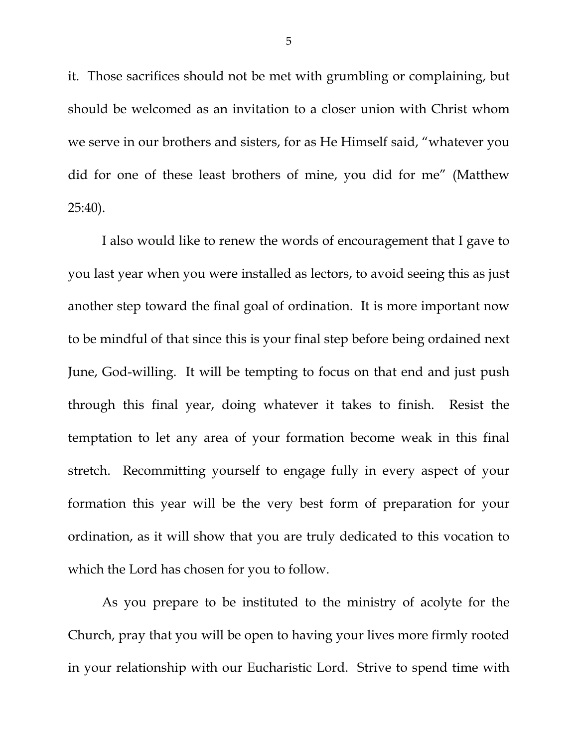it. Those sacrifices should not be met with grumbling or complaining, but should be welcomed as an invitation to a closer union with Christ whom we serve in our brothers and sisters, for as He Himself said, "whatever you did for one of these least brothers of mine, you did for me" (Matthew 25:40).

I also would like to renew the words of encouragement that I gave to you last year when you were installed as lectors, to avoid seeing this as just another step toward the final goal of ordination. It is more important now to be mindful of that since this is your final step before being ordained next June, God-willing. It will be tempting to focus on that end and just push through this final year, doing whatever it takes to finish. Resist the temptation to let any area of your formation become weak in this final stretch. Recommitting yourself to engage fully in every aspect of your formation this year will be the very best form of preparation for your ordination, as it will show that you are truly dedicated to this vocation to which the Lord has chosen for you to follow.

As you prepare to be instituted to the ministry of acolyte for the Church, pray that you will be open to having your lives more firmly rooted in your relationship with our Eucharistic Lord. Strive to spend time with